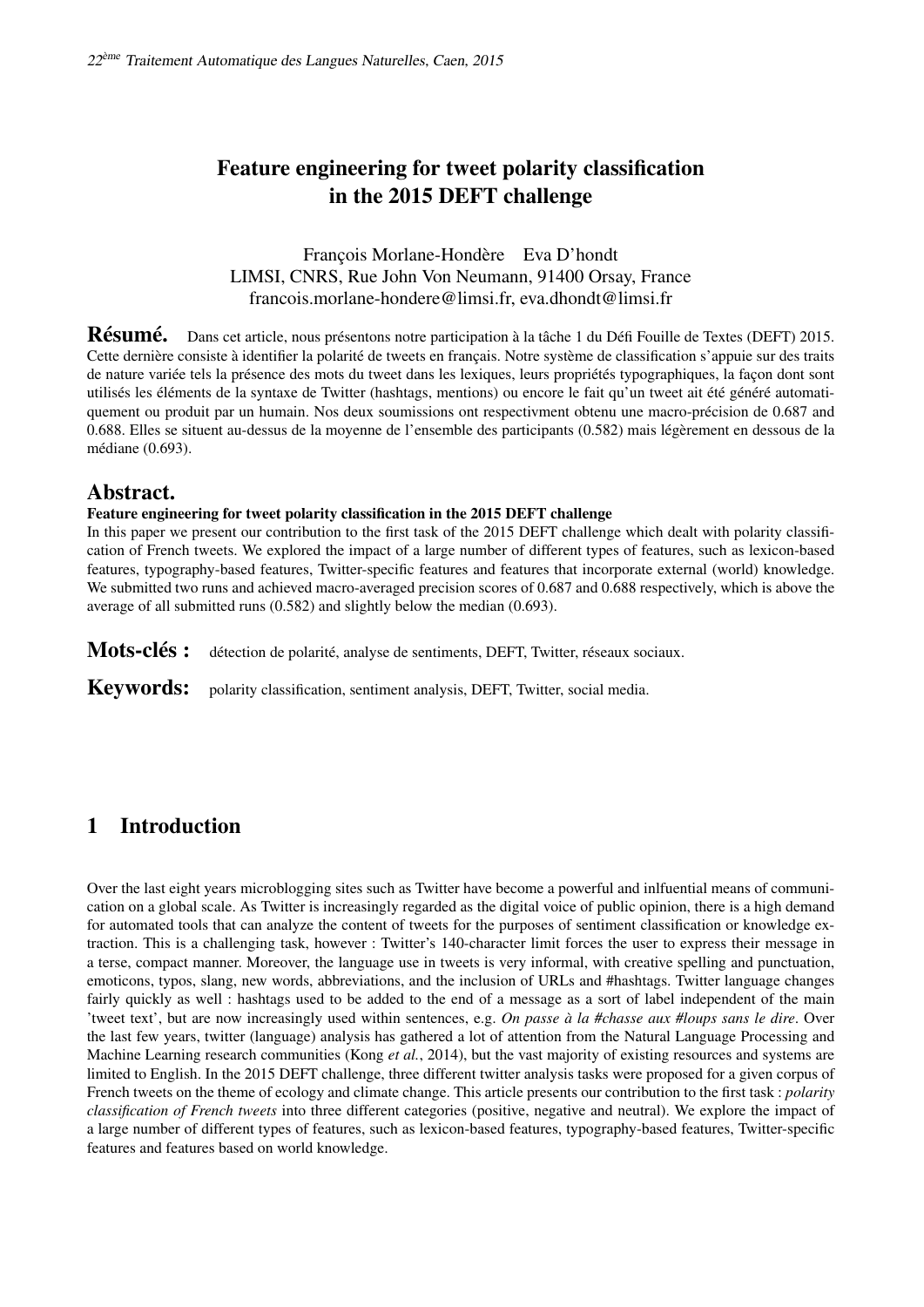# Feature engineering for tweet polarity classification in the 2015 DEFT challenge

François Morlane-Hondère Eva D'hondt LIMSI, CNRS, Rue John Von Neumann, 91400 Orsay, France francois.morlane-hondere@limsi.fr, eva.dhondt@limsi.fr

Résumé. Dans cet article, nous présentons notre participation à la tâche 1 du Défi Fouille de Textes (DEFT) 2015. Cette dernière consiste à identifier la polarité de tweets en français. Notre système de classification s'appuie sur des traits de nature variée tels la présence des mots du tweet dans les lexiques, leurs propriétés typographiques, la façon dont sont utilisés les éléments de la syntaxe de Twitter (hashtags, mentions) ou encore le fait qu'un tweet ait été généré automatiquement ou produit par un humain. Nos deux soumissions ont respectivment obtenu une macro-précision de 0.687 and 0.688. Elles se situent au-dessus de la moyenne de l'ensemble des participants (0.582) mais légèrement en dessous de la médiane (0.693).

# Abstract.

### Feature engineering for tweet polarity classification in the 2015 DEFT challenge

In this paper we present our contribution to the first task of the 2015 DEFT challenge which dealt with polarity classification of French tweets. We explored the impact of a large number of different types of features, such as lexicon-based features, typography-based features, Twitter-specific features and features that incorporate external (world) knowledge. We submitted two runs and achieved macro-averaged precision scores of 0.687 and 0.688 respectively, which is above the average of all submitted runs (0.582) and slightly below the median (0.693).

Mots-clés : détection de polarité, analyse de sentiments, DEFT, Twitter, réseaux sociaux.

Keywords: polarity classification, sentiment analysis, DEFT, Twitter, social media.

# 1 Introduction

Over the last eight years microblogging sites such as Twitter have become a powerful and inlfuential means of communication on a global scale. As Twitter is increasingly regarded as the digital voice of public opinion, there is a high demand for automated tools that can analyze the content of tweets for the purposes of sentiment classification or knowledge extraction. This is a challenging task, however : Twitter's 140-character limit forces the user to express their message in a terse, compact manner. Moreover, the language use in tweets is very informal, with creative spelling and punctuation, emoticons, typos, slang, new words, abbreviations, and the inclusion of URLs and #hashtags. Twitter language changes fairly quickly as well : hashtags used to be added to the end of a message as a sort of label independent of the main 'tweet text', but are now increasingly used within sentences, e.g. *On passe à la #chasse aux #loups sans le dire*. Over the last few years, twitter (language) analysis has gathered a lot of attention from the Natural Language Processing and Machine Learning research communities (Kong *et al.*, 2014), but the vast majority of existing resources and systems are limited to English. In the 2015 DEFT challenge, three different twitter analysis tasks were proposed for a given corpus of French tweets on the theme of ecology and climate change. This article presents our contribution to the first task : *polarity classification of French tweets* into three different categories (positive, negative and neutral). We explore the impact of a large number of different types of features, such as lexicon-based features, typography-based features, Twitter-specific features and features based on world knowledge.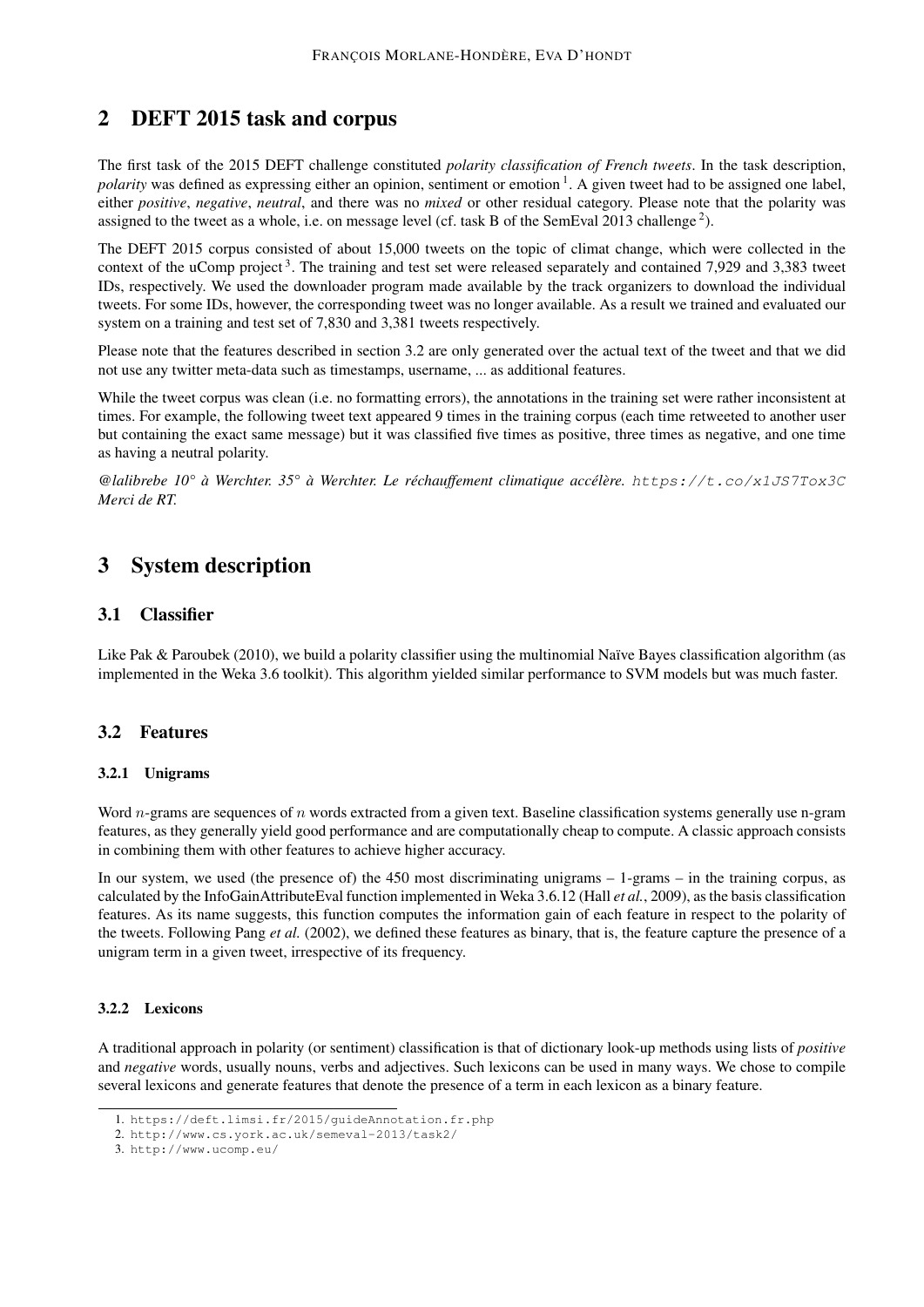# 2 DEFT 2015 task and corpus

The first task of the 2015 DEFT challenge constituted *polarity classification of French tweets*. In the task description, polarity was defined as expressing either an opinion, sentiment or emotion <sup>1</sup>. A given tweet had to be assigned one label, either *positive*, *negative*, *neutral*, and there was no *mixed* or other residual category. Please note that the polarity was assigned to the tweet as a whole, i.e. on message level (cf. task B of the SemEval 2013 challenge<sup>2</sup>).

The DEFT 2015 corpus consisted of about 15,000 tweets on the topic of climat change, which were collected in the context of the uComp project<sup>3</sup>. The training and test set were released separately and contained 7,929 and 3,383 tweet IDs, respectively. We used the downloader program made available by the track organizers to download the individual tweets. For some IDs, however, the corresponding tweet was no longer available. As a result we trained and evaluated our system on a training and test set of 7,830 and 3,381 tweets respectively.

Please note that the features described in section 3.2 are only generated over the actual text of the tweet and that we did not use any twitter meta-data such as timestamps, username, ... as additional features.

While the tweet corpus was clean (i.e. no formatting errors), the annotations in the training set were rather inconsistent at times. For example, the following tweet text appeared 9 times in the training corpus (each time retweeted to another user but containing the exact same message) but it was classified five times as positive, three times as negative, and one time as having a neutral polarity.

*@lalibrebe 10° à Werchter. 35° à Werchter. Le réchauffement climatique accélère.* https://t.co/x1JS7Tox3C *Merci de RT.*

# 3 System description

# 3.1 Classifier

Like Pak & Paroubek (2010), we build a polarity classifier using the multinomial Naïve Bayes classification algorithm (as implemented in the Weka 3.6 toolkit). This algorithm yielded similar performance to SVM models but was much faster.

# 3.2 Features

## 3.2.1 Unigrams

Word  $n$ -grams are sequences of  $n$  words extracted from a given text. Baseline classification systems generally use n-gram features, as they generally yield good performance and are computationally cheap to compute. A classic approach consists in combining them with other features to achieve higher accuracy.

In our system, we used (the presence of) the 450 most discriminating unigrams – 1-grams – in the training corpus, as calculated by the InfoGainAttributeEval function implemented in Weka 3.6.12 (Hall *et al.*, 2009), as the basis classification features. As its name suggests, this function computes the information gain of each feature in respect to the polarity of the tweets. Following Pang *et al.* (2002), we defined these features as binary, that is, the feature capture the presence of a unigram term in a given tweet, irrespective of its frequency.

## 3.2.2 Lexicons

A traditional approach in polarity (or sentiment) classification is that of dictionary look-up methods using lists of *positive* and *negative* words, usually nouns, verbs and adjectives. Such lexicons can be used in many ways. We chose to compile several lexicons and generate features that denote the presence of a term in each lexicon as a binary feature.

<sup>1.</sup> https://deft.limsi.fr/2015/guideAnnotation.fr.php

<sup>2.</sup> http://www.cs.york.ac.uk/semeval-2013/task2/

<sup>3.</sup> http://www.ucomp.eu/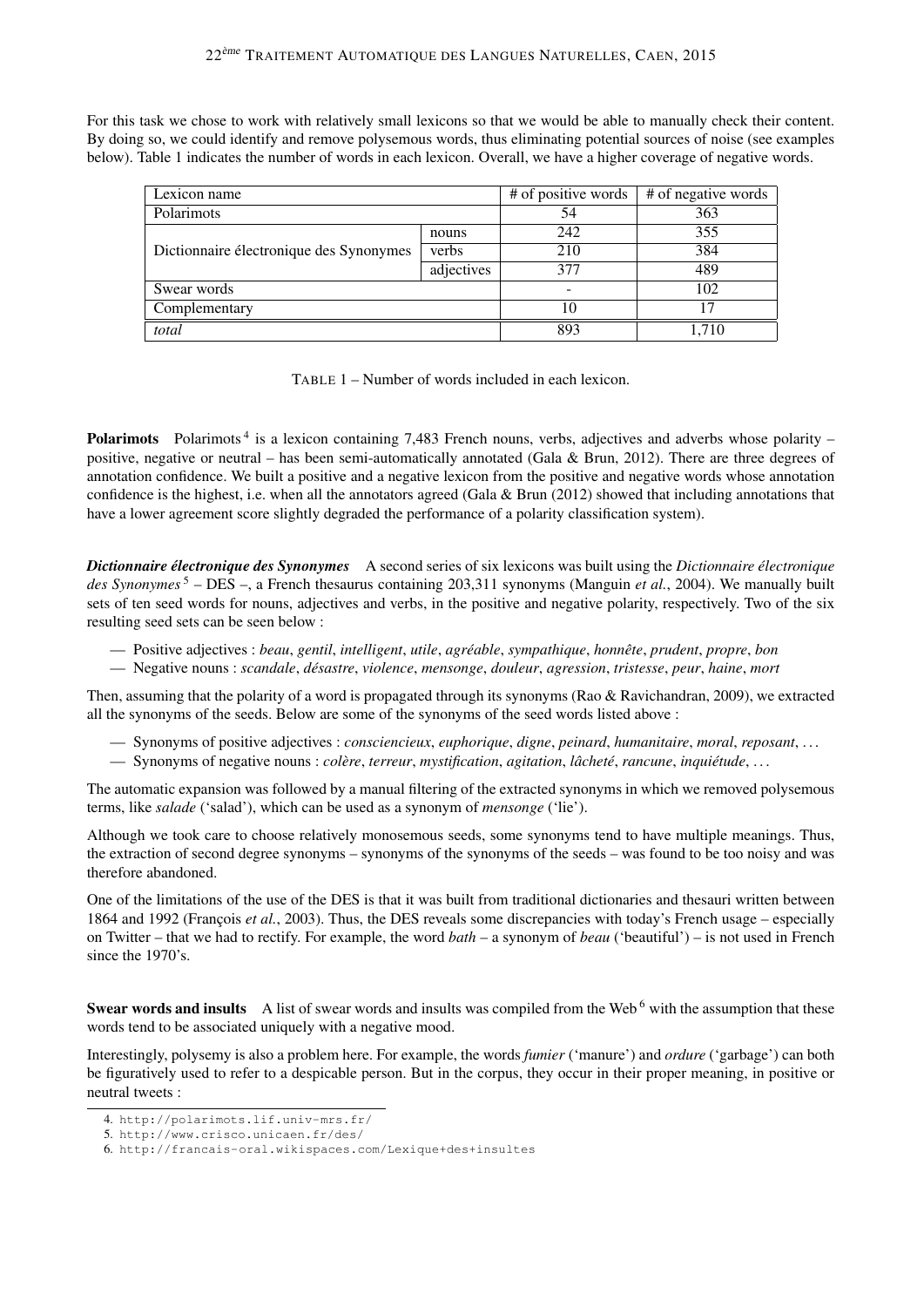For this task we chose to work with relatively small lexicons so that we would be able to manually check their content. By doing so, we could identify and remove polysemous words, thus eliminating potential sources of noise (see examples below). Table 1 indicates the number of words in each lexicon. Overall, we have a higher coverage of negative words.

| Lexicon name                            |            | # of positive words | # of negative words |
|-----------------------------------------|------------|---------------------|---------------------|
| Polarimots                              |            | 54                  | 363                 |
| Dictionnaire électronique des Synonymes | nouns      | 242                 | 355                 |
|                                         | verbs      | 210                 | 384                 |
|                                         | adjectives | 377                 | 489                 |
| Swear words                             |            |                     | 102                 |
| Complementary                           |            | 10                  | 17                  |
| total                                   |            | 893                 | .710                |

TABLE 1 – Number of words included in each lexicon.

Polarimots Polarimots<sup>4</sup> is a lexicon containing 7,483 French nouns, verbs, adjectives and adverbs whose polarity positive, negative or neutral – has been semi-automatically annotated (Gala & Brun, 2012). There are three degrees of annotation confidence. We built a positive and a negative lexicon from the positive and negative words whose annotation confidence is the highest, i.e. when all the annotators agreed (Gala  $\&$  Brun (2012) showed that including annotations that have a lower agreement score slightly degraded the performance of a polarity classification system).

*Dictionnaire électronique des Synonymes* A second series of six lexicons was built using the *Dictionnaire électronique des Synonymes* <sup>5</sup> – DES –, a French thesaurus containing 203,311 synonyms (Manguin *et al.*, 2004). We manually built sets of ten seed words for nouns, adjectives and verbs, in the positive and negative polarity, respectively. Two of the six resulting seed sets can be seen below :

- Positive adjectives : *beau*, *gentil*, *intelligent*, *utile*, *agréable*, *sympathique*, *honnête*, *prudent*, *propre*, *bon*
- Negative nouns : *scandale*, *désastre*, *violence*, *mensonge*, *douleur*, *agression*, *tristesse*, *peur*, *haine*, *mort*

Then, assuming that the polarity of a word is propagated through its synonyms (Rao & Ravichandran, 2009), we extracted all the synonyms of the seeds. Below are some of the synonyms of the seed words listed above :

- Synonyms of positive adjectives : *consciencieux*, *euphorique*, *digne*, *peinard*, *humanitaire*, *moral*, *reposant*, . . .
- Synonyms of negative nouns : *colère*, *terreur*, *mystification*, *agitation*, *lâcheté*, *rancune*, *inquiétude*, . . .

The automatic expansion was followed by a manual filtering of the extracted synonyms in which we removed polysemous terms, like *salade* ('salad'), which can be used as a synonym of *mensonge* ('lie').

Although we took care to choose relatively monosemous seeds, some synonyms tend to have multiple meanings. Thus, the extraction of second degree synonyms – synonyms of the synonyms of the seeds – was found to be too noisy and was therefore abandoned.

One of the limitations of the use of the DES is that it was built from traditional dictionaries and thesauri written between 1864 and 1992 (François *et al.*, 2003). Thus, the DES reveals some discrepancies with today's French usage – especially on Twitter – that we had to rectify. For example, the word *bath* – a synonym of *beau* ('beautiful') – is not used in French since the 1970's.

Swear words and insults A list of swear words and insults was compiled from the Web<sup>6</sup> with the assumption that these words tend to be associated uniquely with a negative mood.

Interestingly, polysemy is also a problem here. For example, the words *fumier* ('manure') and *ordure* ('garbage') can both be figuratively used to refer to a despicable person. But in the corpus, they occur in their proper meaning, in positive or neutral tweets :

<sup>4.</sup> http://polarimots.lif.univ-mrs.fr/

<sup>5.</sup> http://www.crisco.unicaen.fr/des/

<sup>6.</sup> http://francais-oral.wikispaces.com/Lexique+des+insultes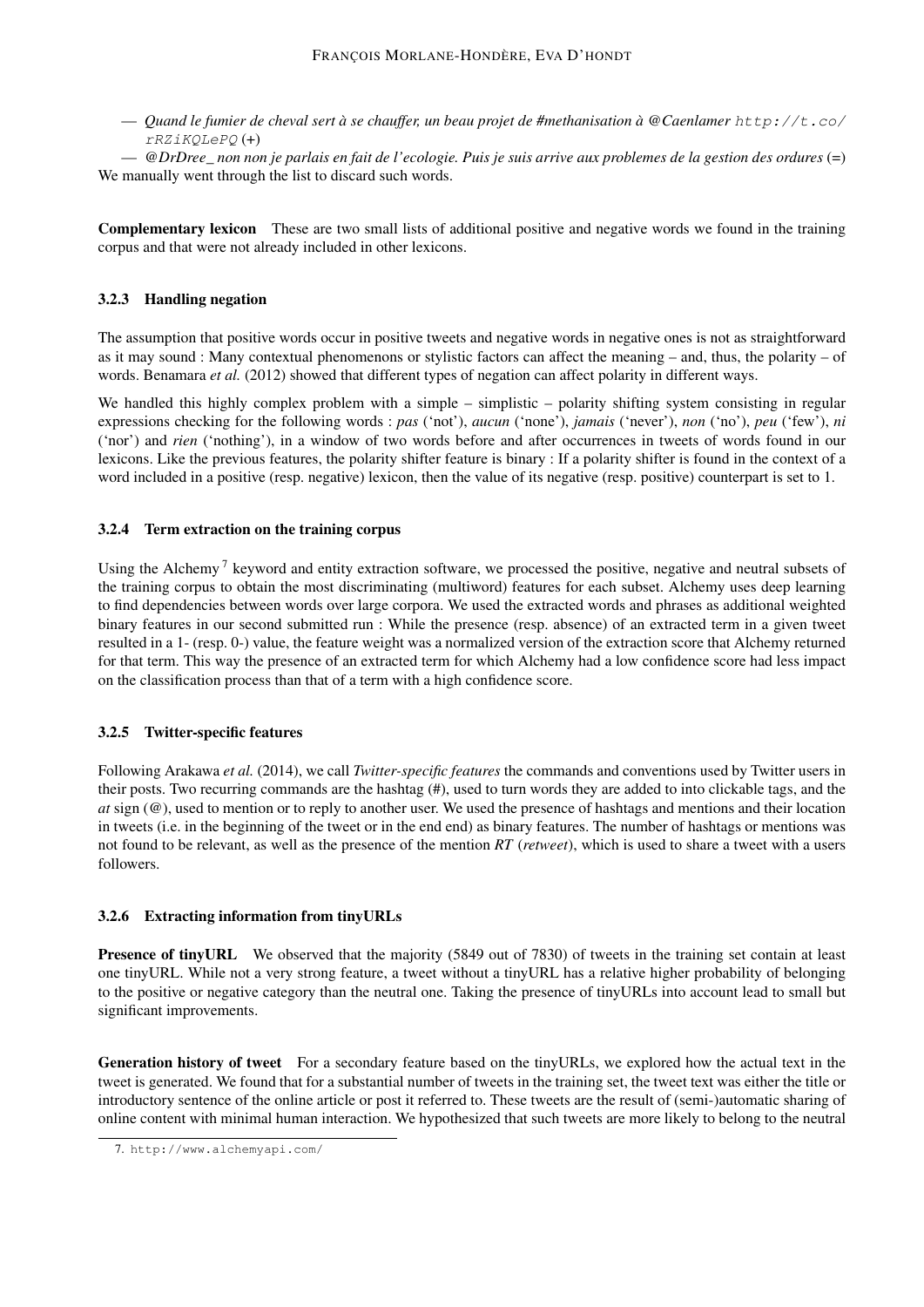— *Quand le fumier de cheval sert à se chauffer, un beau projet de #methanisation à @Caenlamer* http://t.co/ rRZiKQLePQ (+)

— *@DrDree\_ non non je parlais en fait de l'ecologie. Puis je suis arrive aux problemes de la gestion des ordures* (=) We manually went through the list to discard such words.

Complementary lexicon These are two small lists of additional positive and negative words we found in the training corpus and that were not already included in other lexicons.

### 3.2.3 Handling negation

The assumption that positive words occur in positive tweets and negative words in negative ones is not as straightforward as it may sound : Many contextual phenomenons or stylistic factors can affect the meaning – and, thus, the polarity – of words. Benamara *et al.* (2012) showed that different types of negation can affect polarity in different ways.

We handled this highly complex problem with a simple – simplistic – polarity shifting system consisting in regular expressions checking for the following words : *pas* ('not'), *aucun* ('none'), *jamais* ('never'), *non* ('no'), *peu* ('few'), *ni* ('nor') and *rien* ('nothing'), in a window of two words before and after occurrences in tweets of words found in our lexicons. Like the previous features, the polarity shifter feature is binary : If a polarity shifter is found in the context of a word included in a positive (resp. negative) lexicon, then the value of its negative (resp. positive) counterpart is set to 1.

### 3.2.4 Term extraction on the training corpus

Using the Alchemy<sup>7</sup> keyword and entity extraction software, we processed the positive, negative and neutral subsets of the training corpus to obtain the most discriminating (multiword) features for each subset. Alchemy uses deep learning to find dependencies between words over large corpora. We used the extracted words and phrases as additional weighted binary features in our second submitted run : While the presence (resp. absence) of an extracted term in a given tweet resulted in a 1- (resp. 0-) value, the feature weight was a normalized version of the extraction score that Alchemy returned for that term. This way the presence of an extracted term for which Alchemy had a low confidence score had less impact on the classification process than that of a term with a high confidence score.

### 3.2.5 Twitter-specific features

Following Arakawa *et al.* (2014), we call *Twitter-specific features* the commands and conventions used by Twitter users in their posts. Two recurring commands are the hashtag (#), used to turn words they are added to into clickable tags, and the *at* sign (@), used to mention or to reply to another user. We used the presence of hashtags and mentions and their location in tweets (i.e. in the beginning of the tweet or in the end end) as binary features. The number of hashtags or mentions was not found to be relevant, as well as the presence of the mention *RT* (*retweet*), which is used to share a tweet with a users followers.

### 3.2.6 Extracting information from tinyURLs

Presence of tinyURL We observed that the majority (5849 out of 7830) of tweets in the training set contain at least one tinyURL. While not a very strong feature, a tweet without a tinyURL has a relative higher probability of belonging to the positive or negative category than the neutral one. Taking the presence of tinyURLs into account lead to small but significant improvements.

Generation history of tweet For a secondary feature based on the tinyURLs, we explored how the actual text in the tweet is generated. We found that for a substantial number of tweets in the training set, the tweet text was either the title or introductory sentence of the online article or post it referred to. These tweets are the result of (semi-)automatic sharing of online content with minimal human interaction. We hypothesized that such tweets are more likely to belong to the neutral

<sup>7.</sup> http://www.alchemyapi.com/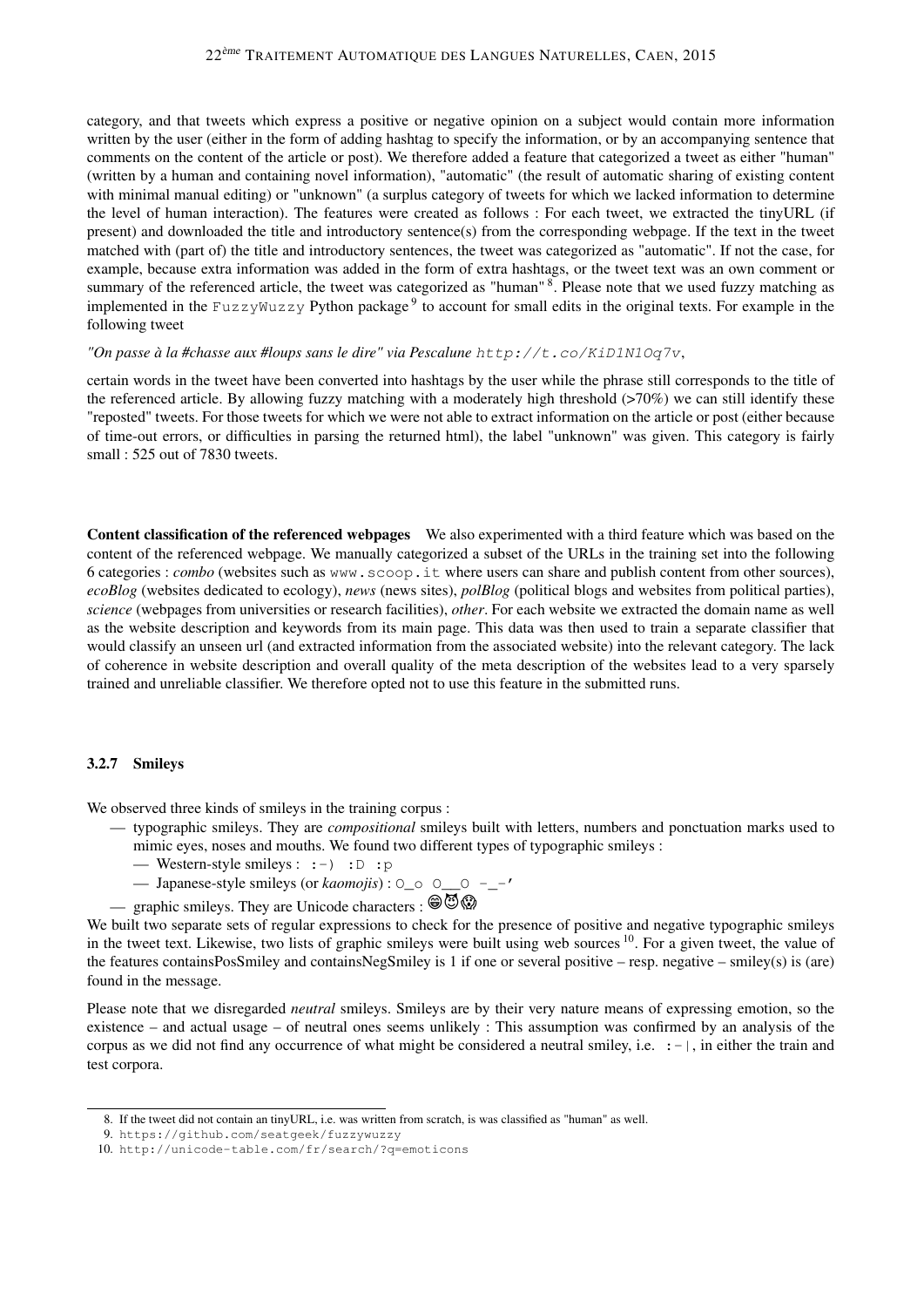category, and that tweets which express a positive or negative opinion on a subject would contain more information written by the user (either in the form of adding hashtag to specify the information, or by an accompanying sentence that comments on the content of the article or post). We therefore added a feature that categorized a tweet as either "human" (written by a human and containing novel information), "automatic" (the result of automatic sharing of existing content with minimal manual editing) or "unknown" (a surplus category of tweets for which we lacked information to determine the level of human interaction). The features were created as follows : For each tweet, we extracted the tinyURL (if present) and downloaded the title and introductory sentence(s) from the corresponding webpage. If the text in the tweet matched with (part of) the title and introductory sentences, the tweet was categorized as "automatic". If not the case, for example, because extra information was added in the form of extra hashtags, or the tweet text was an own comment or summary of the referenced article, the tweet was categorized as "human" <sup>8</sup>. Please note that we used fuzzy matching as implemented in the FuzzyWuzzy Python package<sup>9</sup> to account for small edits in the original texts. For example in the following tweet

#### *"On passe à la #chasse aux #loups sans le dire" via Pescalune* http://t.co/KiD1N1Oq7v,

certain words in the tweet have been converted into hashtags by the user while the phrase still corresponds to the title of the referenced article. By allowing fuzzy matching with a moderately high threshold (>70%) we can still identify these "reposted" tweets. For those tweets for which we were not able to extract information on the article or post (either because of time-out errors, or difficulties in parsing the returned html), the label "unknown" was given. This category is fairly small : 525 out of 7830 tweets.

Content classification of the referenced webpages We also experimented with a third feature which was based on the content of the referenced webpage. We manually categorized a subset of the URLs in the training set into the following 6 categories : *combo* (websites such as www.scoop.it where users can share and publish content from other sources), *ecoBlog* (websites dedicated to ecology), *news* (news sites), *polBlog* (political blogs and websites from political parties), *science* (webpages from universities or research facilities), *other*. For each website we extracted the domain name as well as the website description and keywords from its main page. This data was then used to train a separate classifier that would classify an unseen url (and extracted information from the associated website) into the relevant category. The lack of coherence in website description and overall quality of the meta description of the websites lead to a very sparsely trained and unreliable classifier. We therefore opted not to use this feature in the submitted runs.

#### 3.2.7 Smileys

We observed three kinds of smileys in the training corpus :

- typographic smileys. They are *compositional* smileys built with letters, numbers and ponctuation marks used to mimic eyes, noses and mouths. We found two different types of typographic smileys :
	- Western-style smileys :  $:-)$  :  $D : p$
	- Japanese-style smileys (or *kaomojis*) : O\_o O\_\_O -\_-'
- graphic smileys. They are Unicode characters :  $\circledast\circledast$

We built two separate sets of regular expressions to check for the presence of positive and negative typographic smileys in the tweet text. Likewise, two lists of graphic smileys were built using web sources <sup>10</sup>. For a given tweet, the value of the features containsPosSmiley and containsNegSmiley is 1 if one or several positive – resp. negative – smiley(s) is (are) found in the message.

Please note that we disregarded *neutral* smileys. Smileys are by their very nature means of expressing emotion, so the existence – and actual usage – of neutral ones seems unlikely : This assumption was confirmed by an analysis of the corpus as we did not find any occurrence of what might be considered a neutral smiley, i.e.  $:-|$ , in either the train and test corpora.

<sup>8.</sup> If the tweet did not contain an tinyURL, i.e. was written from scratch, is was classified as "human" as well.

<sup>9.</sup> https://github.com/seatgeek/fuzzywuzzy

<sup>10.</sup> http://unicode-table.com/fr/search/?q=emoticons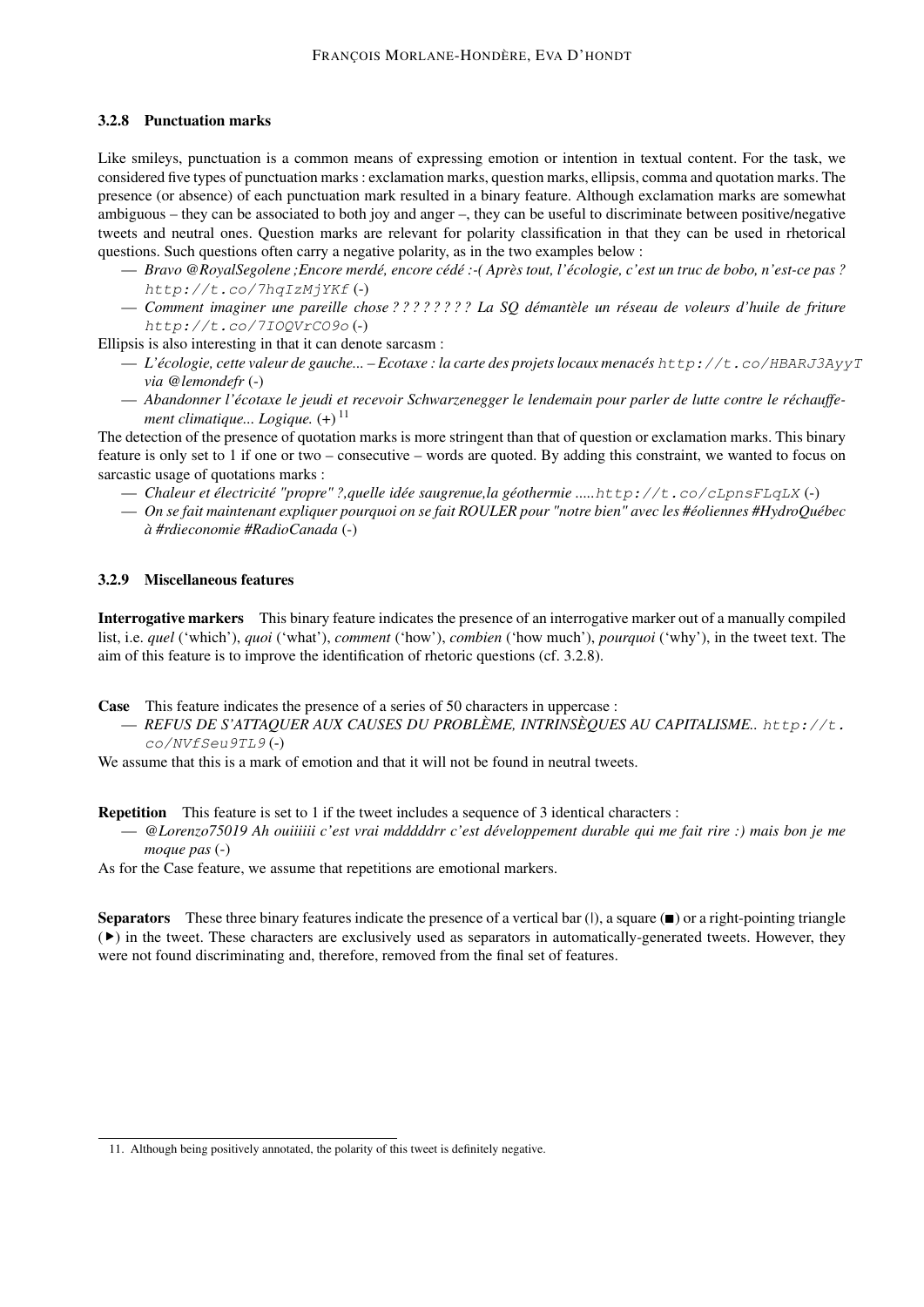## 3.2.8 Punctuation marks

Like smileys, punctuation is a common means of expressing emotion or intention in textual content. For the task, we considered five types of punctuation marks : exclamation marks, question marks, ellipsis, comma and quotation marks. The presence (or absence) of each punctuation mark resulted in a binary feature. Although exclamation marks are somewhat ambiguous – they can be associated to both joy and anger –, they can be useful to discriminate between positive/negative tweets and neutral ones. Question marks are relevant for polarity classification in that they can be used in rhetorical questions. Such questions often carry a negative polarity, as in the two examples below :

- *Bravo @RoyalSegolene ;Encore merdé, encore cédé :-( Après tout, l'écologie, c'est un truc de bobo, n'est-ce pas ?* http://t.co/7hqIzMjYKf (-)
- *Comment imaginer une pareille chose ? ? ? ? ? ? ? ? La SQ démantèle un réseau de voleurs d'huile de friture* http://t.co/7IOQVrCO9o (-)

Ellipsis is also interesting in that it can denote sarcasm :

- *L'écologie, cette valeur de gauche... Ecotaxe : la carte des projets locaux menacés* http://t.co/HBARJ3AyyT *via @lemondefr* (-)
- *Abandonner l'écotaxe le jeudi et recevoir Schwarzenegger le lendemain pour parler de lutte contre le réchauffement climatique... Logique.*  $(+)^{11}$

The detection of the presence of quotation marks is more stringent than that of question or exclamation marks. This binary feature is only set to 1 if one or two – consecutive – words are quoted. By adding this constraint, we wanted to focus on sarcastic usage of quotations marks :

- *Chaleur et électricité "propre" ?,quelle idée saugrenue,la géothermie .....*http://t.co/cLpnsFLqLX (-)
- *On se fait maintenant expliquer pourquoi on se fait ROULER pour "notre bien" avec les #éoliennes #HydroQuébec à #rdieconomie #RadioCanada* (-)

## 3.2.9 Miscellaneous features

Interrogative markers This binary feature indicates the presence of an interrogative marker out of a manually compiled list, i.e. *quel* ('which'), *quoi* ('what'), *comment* ('how'), *combien* ('how much'), *pourquoi* ('why'), in the tweet text. The aim of this feature is to improve the identification of rhetoric questions (cf. 3.2.8).

Case This feature indicates the presence of a series of 50 characters in uppercase :

— *REFUS DE S'ATTAQUER AUX CAUSES DU PROBLÈME, INTRINSÈQUES AU CAPITALISME..* http://t. co/NVfSeu9TL9 (-)

We assume that this is a mark of emotion and that it will not be found in neutral tweets.

Repetition This feature is set to 1 if the tweet includes a sequence of 3 identical characters :

— *@Lorenzo75019 Ah ouiiiiii c'est vrai mdddddrr c'est développement durable qui me fait rire :) mais bon je me moque pas* (-)

As for the Case feature, we assume that repetitions are emotional markers.

Separators These three binary features indicate the presence of a vertical bar (*|*), a square (∎) or a right-pointing triangle (▸) in the tweet. These characters are exclusively used as separators in automatically-generated tweets. However, they were not found discriminating and, therefore, removed from the final set of features.

<sup>11.</sup> Although being positively annotated, the polarity of this tweet is definitely negative.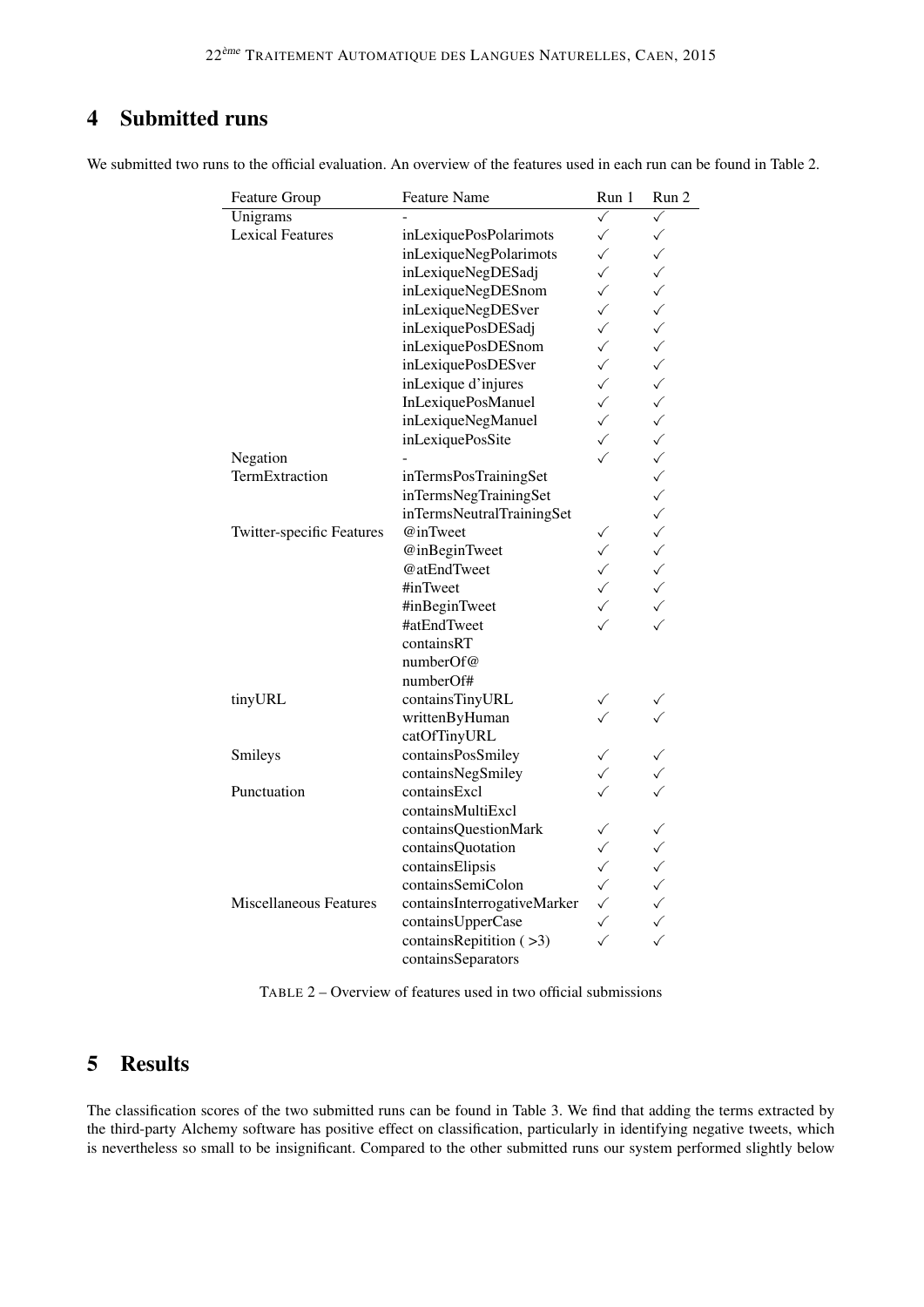#### $\overline{\mathbf{4}}$ **Submitted runs**

| Feature Group             | <b>Feature Name</b>         | Run 1        | Run 2        |
|---------------------------|-----------------------------|--------------|--------------|
| Unigrams                  |                             | $\checkmark$ | ✓            |
| <b>Lexical Features</b>   | inLexiquePosPolarimots      | $\checkmark$ | $\checkmark$ |
|                           | inLexiqueNegPolarimots      | $\checkmark$ | $\checkmark$ |
|                           | inLexiqueNegDESadj          | $\checkmark$ | $\checkmark$ |
|                           | inLexiqueNegDESnom          | $\checkmark$ | $\checkmark$ |
|                           | inLexiqueNegDESver          | $\checkmark$ | $\checkmark$ |
|                           | inLexiquePosDESadj          | $\checkmark$ | $\checkmark$ |
|                           | inLexiquePosDESnom          | $\checkmark$ | $\checkmark$ |
|                           | inLexiquePosDESver          | $\checkmark$ | $\checkmark$ |
|                           | inLexique d'injures         | $\checkmark$ | $\checkmark$ |
|                           | <b>InLexiquePosManuel</b>   | $\checkmark$ | $\checkmark$ |
|                           | inLexiqueNegManuel          | $\checkmark$ | $\checkmark$ |
|                           | inLexiquePosSite            | $\checkmark$ | $\checkmark$ |
| Negation                  |                             | $\checkmark$ | $\checkmark$ |
| TermExtraction            | inTermsPosTrainingSet       |              | $\checkmark$ |
|                           | inTermsNegTrainingSet       |              | $\checkmark$ |
|                           | inTermsNeutralTrainingSet   |              | $\checkmark$ |
| Twitter-specific Features | @inTweet                    | ✓            | $\checkmark$ |
|                           | @inBeginTweet               | $\checkmark$ | $\checkmark$ |
|                           | @atEndTweet                 | $\checkmark$ | $\checkmark$ |
|                           | #inTweet                    | $\checkmark$ | $\checkmark$ |
|                           | #inBeginTweet               | ✓            | $\checkmark$ |
|                           | #atEndTweet                 |              | $\checkmark$ |
|                           | containsRT                  |              |              |
|                           | numberOf@                   |              |              |
|                           | numberOf#                   |              |              |
| tinyURL                   | containsTinyURL             |              |              |
|                           | writtenByHuman              |              |              |
|                           | catOfTinyURL                |              |              |
| Smileys                   | containsPosSmiley           | ✓            |              |
|                           | containsNegSmiley           |              |              |
| Punctuation               | containsExcl                |              |              |
|                           | containsMultiExcl           |              |              |
|                           | containsQuestionMark        | $\checkmark$ | $\checkmark$ |
|                           | containsQuotation           | $\checkmark$ | $\checkmark$ |
|                           | containsElipsis             | $\checkmark$ | $\checkmark$ |
|                           | containsSemiColon           | $\checkmark$ | $\checkmark$ |
| Miscellaneous Features    | containsInterrogativeMarker | $\checkmark$ | $\checkmark$ |
|                           | containsUpperCase           | $\checkmark$ | $\checkmark$ |
|                           | containsRepitition (>3)     | ✓            | $\checkmark$ |
|                           | containsSeparators          |              |              |

TABLE 2 – Overview of features used in two official submissions

#### $\overline{5}$ **Results**

The classification scores of the two submitted runs can be found in Table 3. We find that adding the terms extracted by the third-party Alchemy software has positive effect on classification, particularly in identifying negative tweets, which is nevertheless so small to be insignificant. Compared to the other submitted runs our system performed slightly below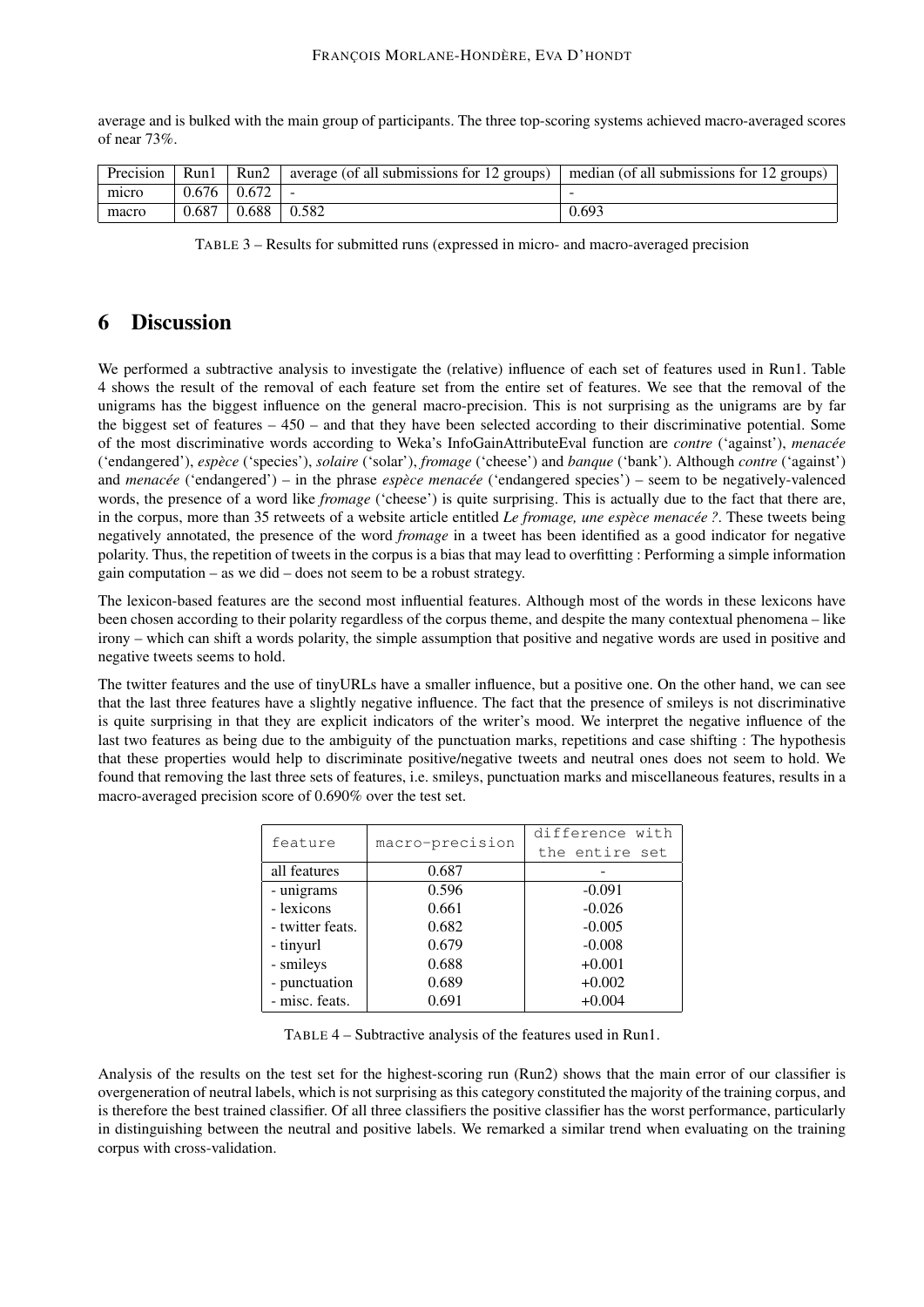average and is bulked with the main group of participants. The three top-scoring systems achieved macro-averaged scores of near 73%.

| Precision | Run1  | Run2                | $\alpha$ average (of all submissions for 12 groups) | median (of all submissions for 12 groups) |
|-----------|-------|---------------------|-----------------------------------------------------|-------------------------------------------|
| micro     | 0.676 | $^{+}$ 0.672 $^{-}$ |                                                     |                                           |
| macro     | 0.687 | 0.688               | 0.582                                               | 0.693                                     |

TABLE 3 – Results for submitted runs (expressed in micro- and macro-averaged precision

# 6 Discussion

We performed a subtractive analysis to investigate the (relative) influence of each set of features used in Run1. Table 4 shows the result of the removal of each feature set from the entire set of features. We see that the removal of the unigrams has the biggest influence on the general macro-precision. This is not surprising as the unigrams are by far the biggest set of features – 450 – and that they have been selected according to their discriminative potential. Some of the most discriminative words according to Weka's InfoGainAttributeEval function are *contre* ('against'), *menacée* ('endangered'), *espèce* ('species'), *solaire* ('solar'), *fromage* ('cheese') and *banque* ('bank'). Although *contre* ('against') and *menacée* ('endangered') – in the phrase *espèce menacée* ('endangered species') – seem to be negatively-valenced words, the presence of a word like *fromage* ('cheese') is quite surprising. This is actually due to the fact that there are, in the corpus, more than 35 retweets of a website article entitled *Le fromage, une espèce menacée ?*. These tweets being negatively annotated, the presence of the word *fromage* in a tweet has been identified as a good indicator for negative polarity. Thus, the repetition of tweets in the corpus is a bias that may lead to overfitting : Performing a simple information gain computation – as we did – does not seem to be a robust strategy.

The lexicon-based features are the second most influential features. Although most of the words in these lexicons have been chosen according to their polarity regardless of the corpus theme, and despite the many contextual phenomena – like irony – which can shift a words polarity, the simple assumption that positive and negative words are used in positive and negative tweets seems to hold.

The twitter features and the use of tinyURLs have a smaller influence, but a positive one. On the other hand, we can see that the last three features have a slightly negative influence. The fact that the presence of smileys is not discriminative is quite surprising in that they are explicit indicators of the writer's mood. We interpret the negative influence of the last two features as being due to the ambiguity of the punctuation marks, repetitions and case shifting : The hypothesis that these properties would help to discriminate positive/negative tweets and neutral ones does not seem to hold. We found that removing the last three sets of features, i.e. smileys, punctuation marks and miscellaneous features, results in a macro-averaged precision score of 0.690% over the test set.

| feature          | macro-precision | difference with |  |
|------------------|-----------------|-----------------|--|
|                  |                 | the entire set  |  |
| all features     | 0.687           |                 |  |
| - unigrams       | 0.596           | $-0.091$        |  |
| - lexicons       | 0.661           | $-0.026$        |  |
| - twitter feats. | 0.682           | $-0.005$        |  |
| - tinyurl        | 0.679           | $-0.008$        |  |
| - smileys        | 0.688           | $+0.001$        |  |
| - punctuation    | 0.689           | $+0.002$        |  |
| - misc. feats.   | 0.691           | $+0.004$        |  |

TABLE 4 – Subtractive analysis of the features used in Run1.

Analysis of the results on the test set for the highest-scoring run (Run2) shows that the main error of our classifier is overgeneration of neutral labels, which is not surprising as this category constituted the majority of the training corpus, and is therefore the best trained classifier. Of all three classifiers the positive classifier has the worst performance, particularly in distinguishing between the neutral and positive labels. We remarked a similar trend when evaluating on the training corpus with cross-validation.